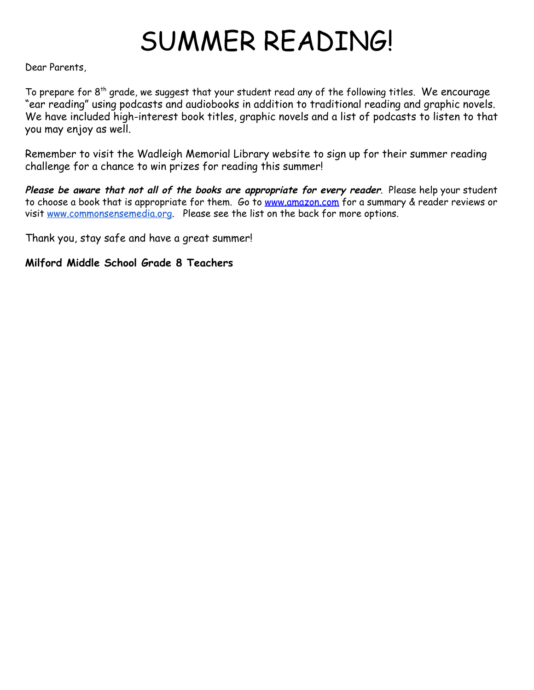# SUMMER READING!

Dear Parents,

To prepare for  $8<sup>th</sup>$  grade, we suggest that your student read any of the following titles. We encourage "ear reading" using podcasts and audiobooks in addition to traditional reading and graphic novels. We have included high-interest book titles, graphic novels and a list of podcasts to listen to that you may enjoy as well.

Remember to visit the Wadleigh Memorial Library website to sign up for their summer reading challenge for a chance to win prizes for reading this summer!

**Please be aware that not all of the books are appropriate for every reader**. Please help your student to choose a book that is appropriate for them. Go to [www.amazon.com](http://www.amazon.com/) for a summary & reader reviews or visit [www.commonsensemedia.org](http://www.commonsensemedia.org/). Please see the list on the back for more options.

Thank you, stay safe and have a great summer!

**Milford Middle School Grade 8 Teachers**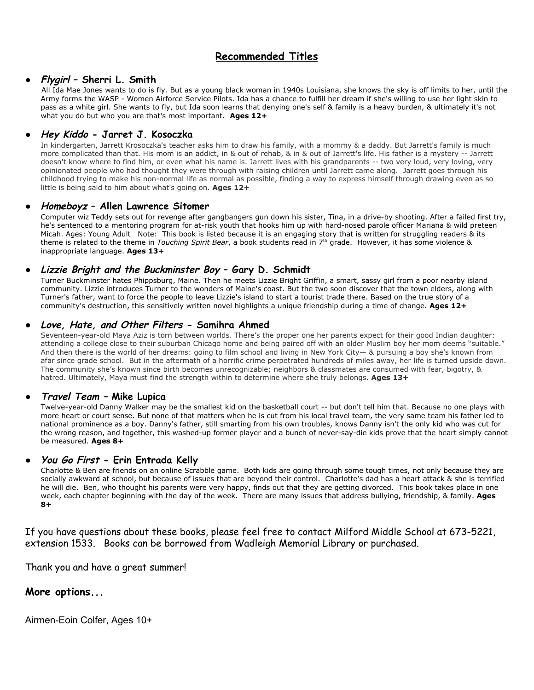# **Recommended Titles**

## ● **Flygirl – Sherri L. Smith**

All Ida Mae Jones wants to do is fly. But as a young black woman in 1940s Louisiana, she knows the sky is off limits to her, until the Army forms the WASP - Women Airforce Service Pilots. Ida has a chance to fulfill her dream if she's willing to use her light skin to pass as a white girl. She wants to fly, but Ida soon learns that denying one's self & family is a heavy burden, & ultimately it's not what you do but who you are that's most important. **Ages 12+**

# ● **Hey Kiddo - Jarret J. Kosoczka**

In kindergarten, Jarrett Krosoczka's teacher asks him to draw his family, with a mommy & a daddy. But Jarrett's family is much more complicated than that. His mom is an addict, in & out of rehab, & in & out of Jarrett's life. His father is a mystery -- Jarrett doesn't know where to find him, or even what his name is. Jarrett lives with his grandparents -- two very loud, very loving, very opinionated people who had thought they were through with raising children until Jarrett came along. Jarrett goes through his childhood trying to make his non-normal life as normal as possible, finding a way to express himself through drawing even as so little is being said to him about what's going on. **Ages 12+**

#### ● **Homeboyz – Allen Lawrence Sitomer**

Computer wiz Teddy sets out for revenge after gangbangers gun down his sister, Tina, in a drive-by shooting. After a failed first try, he's sentenced to a mentoring program for at-risk youth that hooks him up with hard-nosed parole officer Mariana & wild preteen Micah. Ages: Young Adult Note: This book is listed because it is an engaging story that is written for struggling readers & its theme is related to the theme in *Touching Spirit Bear*, a book students read in 7 th grade. However, it has some violence & inappropriate language. **Ages 13+**

## ● **Lizzie Bright and the Buckminster Boy – Gary D. Schmidt**

Turner Buckminster hates Phippsburg, Maine. Then he meets Lizzie Bright Griffin, a smart, sassy girl from a poor nearby island community. Lizzie introduces Turner to the wonders of Maine's coast. But the two soon discover that the town elders, along with Turner's father, want to force the people to leave Lizzie's island to start a tourist trade there. Based on the true story of a community's destruction, this sensitively written novel highlights a unique friendship during a time of change. **Ages 12+**

#### **● Love, Hate, and Other Filters - Samihra Ahmed**

Seventeen-year-old Maya Aziz is torn between worlds. There's the proper one her parents expect for their good Indian daughter: attending a college close to their suburban Chicago home and being paired off with an older Muslim boy her mom deems "suitable." And then there is the world of her dreams: going to film school and living in New York City— & pursuing a boy she's known from afar since grade school. But in the aftermath of a horrific crime perpetrated hundreds of miles away, her life is turned upside down. The community she's known since birth becomes unrecognizable; neighbors & classmates are consumed with fear, bigotry, & hatred. Ultimately, Maya must find the strength within to determine where she truly belongs. **Ages 13+**

#### ● **Travel Team – Mike Lupica**

Twelve-year-old Danny Walker may be the smallest kid on the basketball court -- but don't tell him that. Because no one plays with more heart or court sense. But none of that matters when he is cut from his local travel team, the very same team his father led to national prominence as a boy. Danny's father, still smarting from his own troubles, knows Danny isn't the only kid who was cut for the wrong reason, and together, this washed-up former player and a bunch of never-say-die kids prove that the heart simply cannot be measured. **Ages 8+**

#### **● You Go First - Erin Entrada Kelly**

Charlotte & Ben are friends on an online Scrabble game. Both kids are going through some tough times, not only because they are socially awkward at school, but because of issues that are beyond their control. Charlotte's dad has a heart attack & she is terrified he will die. Ben, who thought his parents were very happy, finds out that they are getting divorced. This book takes place in one week, each chapter beginning with the day of the week. There are many issues that address bullying, friendship, & family. **Ages 8+**

If you have questions about these books, please feel free to contact Milford Middle School at 673-5221, extension 1533. Books can be borrowed from Wadleigh Memorial Library or purchased.

Thank you and have a great summer!

# **More options...**

Airmen-Eoin Colfer, Ages 10+